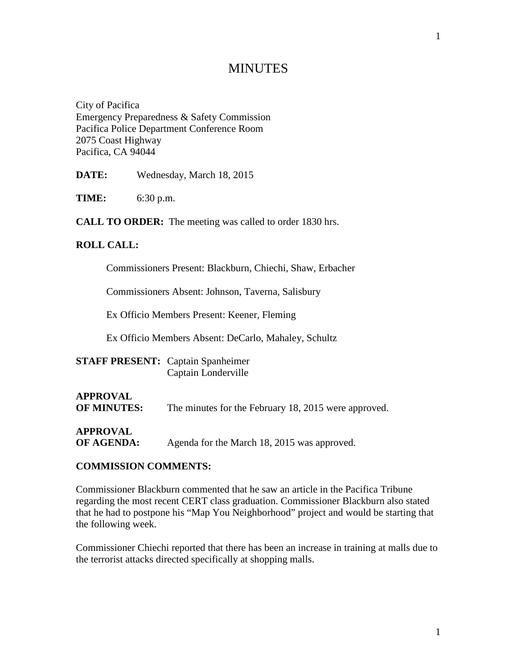# **MINUTES**

City of Pacifica Emergency Preparedness & Safety Commission Pacifica Police Department Conference Room 2075 Coast Highway Pacifica, CA 94044

**DATE:** Wednesday, March 18, 2015

**TIME:** 6:30 p.m.

**CALL TO ORDER:** The meeting was called to order 1830 hrs.

#### **ROLL CALL:**

Commissioners Present: Blackburn, Chiechi, Shaw, Erbacher

Commissioners Absent: Johnson, Taverna, Salisbury

Ex Officio Members Present: Keener, Fleming

Ex Officio Members Absent: DeCarlo, Mahaley, Schultz

| <b>STAFF PRESENT:</b> Captain Spanheimer |
|------------------------------------------|
| Captain Londerville                      |

## **APPROVAL OF MINUTES:** The minutes for the February 18, 2015 were approved.

**APPROVAL**

**OF AGENDA:** Agenda for the March 18, 2015 was approved.

#### **COMMISSION COMMENTS:**

Commissioner Blackburn commented that he saw an article in the Pacifica Tribune regarding the most recent CERT class graduation. Commissioner Blackburn also stated that he had to postpone his "Map You Neighborhood" project and would be starting that the following week.

Commissioner Chiechi reported that there has been an increase in training at malls due to the terrorist attacks directed specifically at shopping malls.